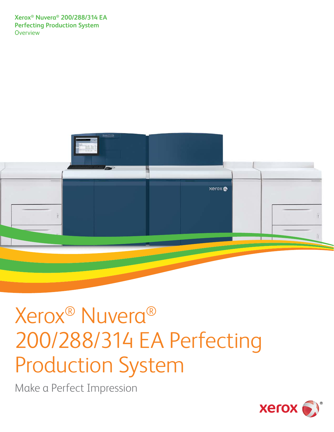**Xerox® Nuvera® 200/288/314 EA Perfecting Production System Overview** 



# Xerox® Nuvera® 200/288/314 EA Perfecting Production System

Make a Perfect Impression

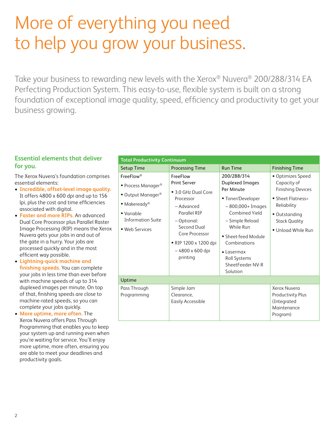# More of everything you need to help you grow your business.

Take your business to rewarding new levels with the Xerox® Nuvera® 200/288/314 EA Perfecting Production System. This easy-to-use, flexible system is built on a strong foundation of exceptional image quality, speed, efficiency and productivity to get your business growing.

### **Essential elements that deliver for you.**

The Xerox Nuvera's foundation comprises essential elements:

- **• Incredible, offset-level image quality.**  It offers 4800 x 600 dpi and up to 156 lpi, plus the cost and time efficiencies associated with digital.
- **• Faster and more RIPs.** An advanced Dual Core Processor plus Parallel Raster Image Processing (RIP) means the Xerox Nuvera gets your jobs in and out of the gate in a hurry. Your jobs are processed quickly and in the most efficient way possible.
- **• Lightning-quick machine and finishing speeds.** You can complete your jobs in less time than ever before with machine speeds of up to 314 duplexed images per minute. On top of that, finishing speeds are close to machine-rated speeds, so you can complete your jobs quickly.
- **• More uptime, more often.** The Xerox Nuvera offers Pass Through Programming that enables you to keep your system up and running even when you're waiting for service. You'll enjoy more uptime, more often, ensuring you are able to meet your deadlines and productivity goals.

#### **Total Productivity Continuum**

| TOLAI Productivity Continuum                                                                                                                                                            |                                                                                                                                                                                                           |                                                                                                                                                                                                                                                               |                                                                                                                                                                 |  |
|-----------------------------------------------------------------------------------------------------------------------------------------------------------------------------------------|-----------------------------------------------------------------------------------------------------------------------------------------------------------------------------------------------------------|---------------------------------------------------------------------------------------------------------------------------------------------------------------------------------------------------------------------------------------------------------------|-----------------------------------------------------------------------------------------------------------------------------------------------------------------|--|
| <b>Setup Time</b>                                                                                                                                                                       | <b>Processing Time</b>                                                                                                                                                                                    | <b>Run Time</b>                                                                                                                                                                                                                                               | <b>Finishing Time</b>                                                                                                                                           |  |
| <b>FreeFlow</b> <sup>®</sup><br>• Process Manager <sup>®</sup><br>• Output Manager <sup>®</sup><br>• Makeready <sup>®</sup><br>• Variable<br><b>Information Suite</b><br>· Web Services | FreeFlow<br><b>Print Server</b><br>• 3.0 GHz Dual Core<br>Processor<br>- Advanced<br>Parallel RIP<br>- Optional:<br>Second Dual<br>Core Processor<br>• RIP 1200 x 1200 dpi<br>-4800 x 600 dpi<br>printing | 200/288/314<br><b>Duplexed Images</b><br>Per Minute<br>• Toner/Developer<br>$-800,000+$ Images<br>Combined Yield<br>- Simple Reload<br>While Run<br>• Sheet-feed Module<br>Combinations<br>$\bullet$ Lasermax<br>Roll Systems<br>SheetFeeder NV-R<br>Solution | • Optimizes Speed<br>Capacity of<br><b>Finishing Devices</b><br>• Sheet Flatness=<br>Reliability<br>• Outstanding<br><b>Stack Quality</b><br>• Unload While Run |  |
| Uptime                                                                                                                                                                                  |                                                                                                                                                                                                           |                                                                                                                                                                                                                                                               |                                                                                                                                                                 |  |
| Pass Through<br>Programming                                                                                                                                                             | Simple Jam<br>Clearance,<br><b>Easily Accessible</b>                                                                                                                                                      |                                                                                                                                                                                                                                                               | Xerox Nuvera<br>Productivity Plus<br>(Integrated<br>Maintenance<br>Program)                                                                                     |  |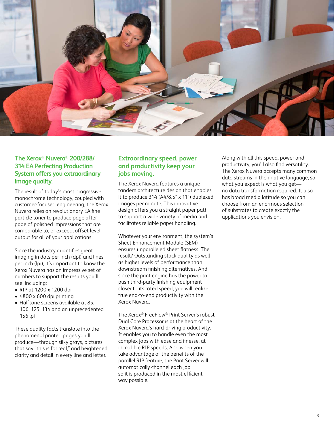

# **The Xerox® Nuvera® 200/288/ 314 EA Perfecting Production System offers you extraordinary image quality.**

The result of today's most progressive monochrome technology, coupled with customer-focused engineering, the Xerox Nuvera relies on revolutionary EA fine particle toner to produce page after page of polished impressions that are comparable to, or exceed, offset-level output for all of your applications.

Since the industry quantifies great imaging in dots per inch (dpi) and lines per inch (lpi), it's important to know the Xerox Nuvera has an impressive set of numbers to support the results you'll see, including:

- RIP at 1200 x 1200 dpi
- 4800 x 600 dpi printing
- Halftone screens available at 85, 106, 125, 134 and an unprecedented 156 lpi

These quality facts translate into the phenomenal printed pages you'll produce—through silky grays, pictures that say "this is for real," and heightened clarity and detail in every line and letter.

# **Extraordinary speed, power and productivity keep your jobs moving.**

The Xerox Nuvera features a unique tandem architecture design that enables it to produce 314 (A4/8.5" x 11") duplexed images per minute. This innovative design offers you a straight paper path to support a wide variety of media and facilitates reliable paper handling.

Whatever your environment, the system's Sheet Enhancement Module (SEM) ensures unparalleled sheet flatness. The result? Outstanding stack quality as well as higher levels of performance than downstream finishing alternatives. And since the print engine has the power to push third-party finishing equipment closer to its rated speed, you will realize true end-to-end productivity with the Xerox Nuvera.

The Xerox® FreeFlow® Print Server's robust Dual Core Processor is at the heart of the Xerox Nuvera's hard-driving productivity. It enables you to handle even the most complex jobs with ease and finesse, at incredible RIP speeds. And when you take advantage of the benefits of the parallel RIP feature, the Print Server will automatically channel each job so it is produced in the most efficient way possible.

Along with all this speed, power and productivity, you'll also find versatility. The Xerox Nuvera accepts many common data streams in their native language, so what you expect is what you get no data transformation required. It also has broad media latitude so you can choose from an enormous selection of substrates to create exactly the applications you envision.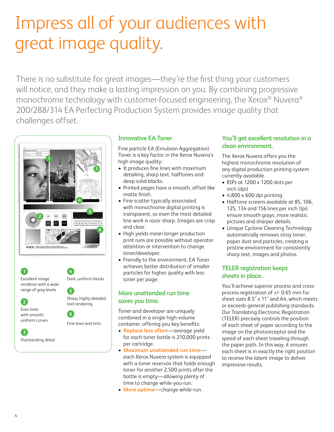# Impress all of your audiences with great image quality.

There is no substitute for great images—they're the first thing your customers will notice, and they make a lasting impression on you. By combining progressive monochrome technology with customer-focused engineering, the Xerox® Nuvera® 200/288/314 EA Perfecting Production System provides image quality that challenges offset.



**4**

**5**

**6**

Dark, uniform blacks

Sharp, highly detailed text rendering

Fine lines and tints

**1** Excellent image rendition with a wide range of gray levels



uniform curves

**3** Outstanding detail

# **Innovative EA Toner**

Fine particle EA (Emulsion Aggregation) Toner is a key factor in the Xerox Nuvera's high image quality:

- It produces fine lines with maximum detailing, sharp text, halftones and deep solid blacks.
- Printed pages have a smooth, offset-like matte finish.
- Fine scatter typically associated with monochrome digital printing is transparent, so even the most detailed line work is razor sharp. Images are crisp and clear.
- High yields mean longer production print runs are possible without operator attention or intervention to change toner/developer.
- Friendly to the environment, EA Toner achieves better distribution of smaller particles for higher quality with less toner per page.

### **More unattended run time saves you time.**

Toner and developer are uniquely combined in a single high-volume container, offering you key benefits:

- **• Replace less often**—average yield for each toner bottle is 210,000 prints per cartridge.
- **• Maximum unattended run time** each Xerox Nuvera system is equipped with a toner reservoir that holds enough toner for another 2,500 prints after the bottle is empty—allowing plenty of time to change-while-you-run.
- **• More uptime**—change-while-run.

# **You'll get excellent resolution in a clean environment.**

The Xerox Nuvera offers you the highest monochrome resolution of any digital production printing system currently available.

- RIPs at 1200 x 1200 dots per inch (dpi)
- 4,800 x 600 dpi printing
- Halftone screens available at 85, 106, 125, 134 and 156 lines per inch (lpi) ensure smooth grays, more realistic pictures and sharper details.
- Unique Cyclone Cleaning Technology automatically removes stray toner, paper dust and particles, creating a pristine environment for consistently sharp text, images and photos.

# **TELER registration keeps sheets in place.**

You'll achieve superior process and crossprocess registration of +/- 0.65 mm for sheet sizes 8.5" x 11" and A4, which meets or exceeds general publishing standards. Our Translating Electronic Registration (TELER) precisely controls the position of each sheet of paper according to the image on the photoreceptor and the speed of each sheet traveling through the paper path. In this way, it ensures each sheet is in exactly the right position to receive the latent image to deliver impressive results.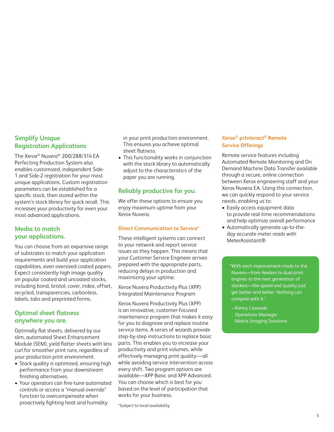# **Simplify Unique Registration Applications**

The Xerox® Nuvera® 200/288/314 EA Perfecting Production System also enables customized, independent Side-1 and Side-2 registration for your most unique applications. Custom registration parameters can be established for a specific stock, then stored within the system's stock library for quick recall. This increases your productivity for even your most advanced applications.

# **Media to match your applications.**

You can choose from an expansive range of substrates to match your application requirements and build your application capabilities, even oversized coated papers. Expect consistently high image quality on popular coated and uncoated stocks, including bond, bristol, cover, index, offset, recycled, transparencies, carbonless, labels, tabs and preprinted forms.

# **Optimal sheet flatness anywhere you are.**

Optimally flat sheets, delivered by our slim, automated Sheet Enhancement Module (SEM), yield flatter sheets with less curl for smoother print runs, regardless of your production print environment.

- Stack quality is optimized, ensuring high performance from your downstream finishing alternatives.
- Your operators can fine-tune automated controls or access a "manual override" function to overcompensate when proactively fighting heat and humidity

in your print production environment. This ensures you achieve optimal sheet flatness.

• This functionality works in conjunction with the stock library to automatically adjust to the characteristics of the paper you are running.

# **Reliably productive for you.**

We offer these options to ensure you enjoy maximum uptime from your Xerox Nuvera.

### **Direct Communication to Service\***

These intelligent systems can connect to your network and report service issues as they happen. This means that your Customer Service Engineer arrives prepared with the appropriate parts, reducing delays in production and maximizing your uptime.

Xerox Nuvera Productivity Plus (XPP) Integrated Maintenance Program

Xerox Nuvera Productivity Plus (XPP) is an innovative, customer-focused maintenance program that makes it easy for you to diagnose and replace routine service items. A series of wizards provide step-by-step instructions to replace basic parts. This enables you to increase your productivity and print volumes, while effectively managing print quality—all while avoiding service intervention across every shift. Two program options are available—XPP Basic and XPP Advanced. You can choose which is best for you based on the level of participation that works for your business.

\*Subject to local availability

### **Xerox® prInteract® Remote Service Offerings**

Remote service features including Automated Remote Monitoring and On Demand Machine Data Transfer available through a secure, online connection between Xerox engineering staff and your Xerox Nuvera EA. Using this connection, we can quickly respond to your service needs, enabling us to:

- Easily access equipment data to provide real-time recommendations and help optimize overall performance
- Automatically generate up-to-theday accurate meter reads with MeterAssistant®

"With each improvement made to the Nuvera—from feeders to dual print engines to the next generation of stackers—the speed and quality just get better and better. Nothing can compete with it."

– Kenny Liszewski Operations Manager Matrix Imaging Solutions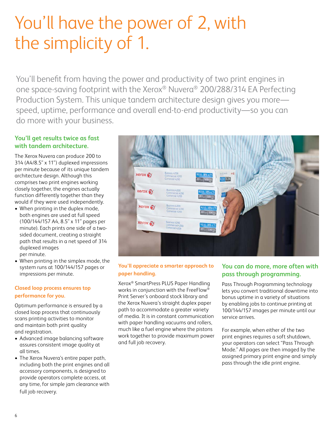# You'll have the power of 2, with the simplicity of 1.

You'll benefit from having the power and productivity of two print engines in one space-saving footprint with the Xerox® Nuvera® 200/288/314 EA Perfecting Production System. This unique tandem architecture design gives you more speed, uptime, performance and overall end-to-end productivity—so you can do more with your business.

# **You'll get results twice as fast with tandem architecture.**

The Xerox Nuvera can produce 200 to 314 (A4/8.5" x 11") duplexed impressions per minute because of its unique tandem architecture design. Although this comprises two print engines working closely together, the engines actually function differently together than they would if they were used independently.

- When printing in the duplex mode, both engines are used at full speed (100/144/157 A4, 8.5" x 11" pages per minute). Each prints one side of a twosided document, creating a straight path that results in a net speed of 314 duplexed images per minute.
- When printing in the simplex mode, the system runs at 100/144/157 pages or impressions per minute.

# **Closed loop process ensures top performance for you.**

Optimum performance is ensured by a closed loop process that continuously scans printing activities to monitor and maintain both print quality and registration.

- Advanced image balancing software assures consistent image quality at all times.
- The Xerox Nuvera's entire paper path, including both the print engines and all accessory components, is designed to provide operators complete access, at any time, for simple jam clearance with full job recovery.



### **You'll appreciate a smarter approach to paper handling.**

Xerox® SmartPress PLUS Paper Handling works in conjunction with the FreeFlow® Print Server's onboard stock library and the Xerox Nuvera's straight duplex paper path to accommodate a greater variety of media. It is in constant communication with paper handling vacuums and rollers, much like a fuel engine where the pistons work together to provide maximum power and full job recovery.

# **You can do more, more often with pass through programming.**

Pass Through Programming technology lets you convert traditional downtime into bonus uptime in a variety of situations by enabling jobs to continue printing at 100/144/157 images per minute until our service arrives.

For example, when either of the two print engines requires a soft shutdown, your operators can select "Pass Through Mode." All pages are then imaged by the assigned primary print engine and simply pass through the idle print engine.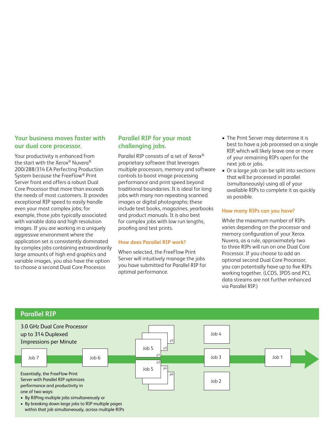### **Your business moves faster with our dual core processor.**

Your productivity is enhanced from the start with the Xerox® Nuvera® 200/288/314 EA Perfecting Production System because the FreeFlow® Print Server front end offers a robust Dual Core Processor that more than exceeds the needs of most customers. It provides exceptional RIP speed to easily handle even your most complex jobs; for example, those jobs typically associated with variable data and high resolution images. If you are working in a uniquely aggressive environment where the application set is consistently dominated by complex jobs containing extraordinarily large amounts of high end graphics and variable images, you also have the option to choose a second Dual Core Processor.

### **Parallel RIP for your most challenging jobs.**

Parallel RIP consists of a set of Xerox® proprietary software that leverages multiple processors, memory and software controls to boost image processing performance and print speed beyond traditional boundaries. It is ideal for long jobs with many non-repeating scanned images or digital photographs; these include text books, magazines, yearbooks and product manuals. It is also best for complex jobs with low run lengths, proofing and test prints.

#### **How does Parallel RIP work?**

When selected, the FreeFlow Print Server will intuitively manage the jobs you have submitted for Parallel RIP for optimal performance.

- The Print Server may determine it is best to have a job processed on a single RIP, which will likely leave one or more of your remaining RIPs open for the next job or jobs.
- Or a large job can be split into sections that will be processed in parallel (simultaneously) using all of your available RIPs to complete it as quickly as possible.

### **How many RIPs can you have?**

While the maximum number of RIPs varies depending on the processor and memory configuration of your Xerox Nuvera, as a rule, approximately two to three RIPs will run on one Dual Core Processor. If you choose to add an optional second Dual Core Processor, you can potentially have up to five RIPs working together. (LCDS, IPDS and PCL data streams are not further enhanced via Parallel RIP.)

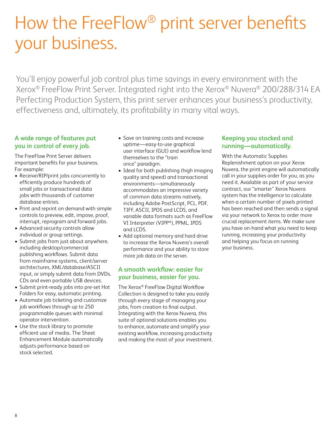# How the FreeFlow® print server benefits your business.

You'll enjoy powerful job control plus time savings in every environment with the Xerox® FreeFlow Print Server. Integrated right into the Xerox® Nuvera® 200/288/314 EA Perfecting Production System, this print server enhances your business's productivity, effectiveness and, ultimately, its profitability in many vital ways.

# **A wide range of features put you in control of every job.**

The FreeFlow Print Server delivers important benefits for your business. For example:

- Receive/RIP/print jobs concurrently to efficiently produce hundreds of small jobs or transactional data jobs with thousands of customer database entries.
- Print and reprint on demand with simple controls to preview, edit, impose, proof, interrupt, reprogram and forward jobs.
- Advanced security controls allow individual or group settings.
- Submit jobs from just about anywhere, including desktop/commercial publishing workflows. Submit data from mainframe systems, client/server architectures, XML/database/ASCII input, or simply submit data from DVDs, CDs and even portable USB devices.
- Submit print-ready jobs into pre-set Hot Folders for easy, automatic printing.
- Automate job ticketing and customize job workflows through up to 250 programmable queues with minimal operator intervention.
- Use the stock library to promote efficient use of media. The Sheet Enhancement Module automatically adjusts performance based on stock selected.
- Save on training costs and increase uptime—easy-to-use graphical user interface (GUI) and workflow lend themselves to the "train once" paradigm.
- Ideal for both publishing (high imaging quality and speed) and transactional environments—simultaneously accommodates an impressive variety of common data streams natively, including Adobe PostScript, PCL, PDF, TIFF, ASCII, IPDS and LCDS, and variable data formats such as FreeFlow VI Interpreter (VIPP®), PPML, IPDS and LCDS.
- Add optional memory and hard drive to increase the Xerox Nuvera's overall performance and your ability to store more job data on the server.

# **A smooth workflow: easier for your business, easier for you.**

The Xerox® FreeFlow Digital Workflow Collection is designed to take you easily through every stage of managing your jobs, from creation to final output. Integrating with the Xerox Nuvera, this suite of optional solutions enables you to enhance, automate and simplify your existing workflow, increasing productivity and making the most of your investment.

# **Keeping you stocked and running—automatically.**

With the Automatic Supplies Replenishment option on your Xerox Nuvera, the print engine will automatically call in your supplies order for you, as you need it. Available as part of your service contract, our "smarter" Xerox Nuvera system has the intelligence to calculate when a certain number of pixels printed has been reached and then sends a signal via your network to Xerox to order more crucial replacement items. We make sure you have on-hand what you need to keep running, increasing your productivity and helping you focus on running your business.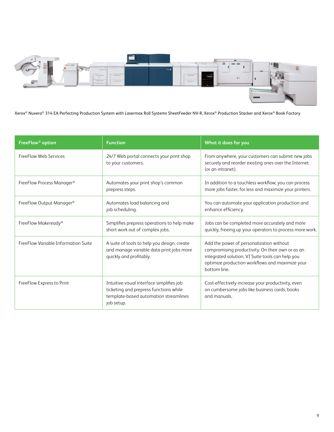

Xerox® Nuvera® 314 EA Perfecting Production System with Lasermax Roll Systems SheetFeeder NV-R, Xerox® Production Stacker and Xerox® Book Factory

| FreeFlow <sup>®</sup> option        | <b>Function</b>                                                                                                                            | What it does for you                                                                                                                                                                                                |
|-------------------------------------|--------------------------------------------------------------------------------------------------------------------------------------------|---------------------------------------------------------------------------------------------------------------------------------------------------------------------------------------------------------------------|
| FreeFlow Web Services               | 24/7 Web portal connects your print shop<br>to your customers.                                                                             | From anywhere, your customers can submit new jobs<br>securely and reorder existing ones over the Internet<br>(or an intranet).                                                                                      |
| FreeFlow Process Manager®           | Automates your print shop's common<br>prepress steps.                                                                                      | In addition to a touchless workflow, you can process<br>more jobs faster, for less and maximize your printers.                                                                                                      |
| FreeFlow Output Manager®            | Automates load balancing and<br>job scheduling.                                                                                            | You can automate your application production and<br>enhance efficiency.                                                                                                                                             |
| FreeFlow Makeready®                 | Simplifies prepress operations to help make<br>short work out of complex jobs.                                                             | Jobs can be completed more accurately and more<br>quickly, freeing up your operators to process more work.                                                                                                          |
| FreeFlow Variable Information Suite | A suite of tools to help you design, create<br>and manage variable data print jobs more<br>quickly and profitably.                         | Add the power of personalization without<br>compromising productivity. On their own or as an<br>integrated solution, VI Suite tools can help you<br>optimize production workflows and maximize your<br>bottom line. |
| FreeFlow Express to Print           | Intuitive visual interface simplifies job<br>ticketing and prepress functions while<br>template-based automation streamlines<br>job setup. | Cost-effectively increase your productivity, even<br>on cumbersome jobs like business cards, books<br>and manuals.                                                                                                  |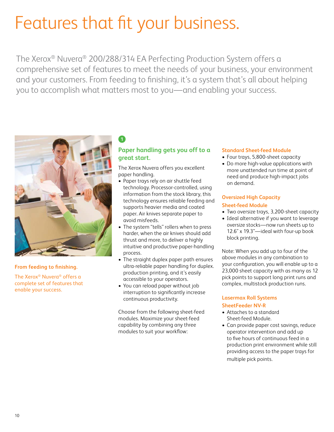# Features that fit your business.

The Xerox® Nuvera® 200/288/314 EA Perfecting Production System offers a comprehensive set of features to meet the needs of your business, your environment and your customers. From feeding to finishing, it's a system that's all about helping you to accomplish what matters most to you—and enabling your success.



### **From feeding to finishing.**

The Xerox® Nuvera® offers a complete set of features that enable your success.

# **Paper handling gets you off to a great start.**

The Xerox Nuvera offers you excellent paper handling.

- Paper trays rely on air shuttle feed technology. Processor-controlled, using information from the stock library, this technology ensures reliable feeding and supports heavier media and coated paper. Air knives separate paper to avoid misfeeds.
- The system "tells" rollers when to press harder, when the air knives should add thrust and more, to deliver a highly intuitive and productive paper-handling process.
- The straight duplex paper path ensures ultra-reliable paper handling for duplex. production printing, and it's easily accessible to your operators.
- You can reload paper without job interruption to significantly increase continuous productivity.

Choose from the following sheet-feed modules. Maximize your sheet-feed capability by combining any three modules to suit your workflow:

#### **Standard Sheet-feed Module**

- Four trays, 5,800-sheet capacity
- Do more high-value applications with more unattended run time at point of need and produce high-impact jobs on demand.

### **Oversized High Capacity Sheet-feed Module**

- Two oversize trays, 3,200-sheet capacity
- Ideal alternative if you want to leverage oversize stocks—now run sheets up to 12.6" x 19.3"—ideal with four-up book block printing.

Note: When you add up to four of the above modules in any combination to your configuration, you will enable up to a 23,000 sheet capacity with as many as 12 pick points to support long print runs and complex, multistock production runs.

### **Lasermax Roll Systems SheetFeeder NV-R**

- Attaches to a standard Sheet-feed Module.
- Can provide paper cost savings, reduce operator intervention and add up to five hours of continuous feed in a production print environment while still providing access to the paper trays for multiple pick points.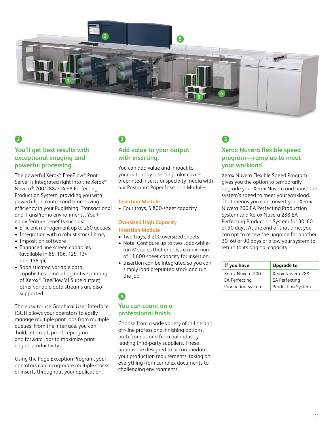

# **You'll get best results with exceptional imaging and powerful processing.**

The powerful Xerox® FreeFlow® Print Server is integrated right into the Xerox® Nuvera® 200/288/314 EA Perfecting Production System, providing you with powerful job control and time-saving efficiency in your Publishing, Transactional and TransPromo environments. You'll enjoy feature benefits such as:

- Efficient management up to 250 queues.
- Integration with a robust stock library
- Imposition software
- Enhanced line screen capability (available in 85, 106, 125, 134 and 156 lpi).
- Sophisticated variable data capabilities—including native printing of Xerox® FreeFlow VI Suite output; other variable data streams are also supported.

The easy-to-use Graphical User Interface (GUI) allows your operators to easily manage multiple print jobs from multiple queues. From the interface, you can hold, interrupt, proof, reprogram and forward jobs to maximize print engine productivity.

Using the Page Exception Program, your operators can incorporate multiple stocks or inserts throughout your application.

# **2 3 5**

# **Add value to your output with inserting.**

You can add value and impact to your output by inserting color covers, preprinted inserts or specialty media with our Post-print Paper Insertion Modules:

#### **Insertion Module**

• Four trays, 5,800-sheet capacity

### **Oversized High Capacity Insertion Module**

- Two trays, 3,200 oversized sheets
- Note: Configure up to two Load-whilerun Modules that enables a maximum of 11,600 sheet capacity for insertion.
- Insertion can be integrated so you can simply load preprinted stock and run the job.

# **You can count on a professional finish. 4**

Choose from a wide variety of in-line and off-line professional finishing options, both from us and from our industryleading third-party suppliers. These options are designed to accommodate your production requirements, taking on everything from complex documents to challenging environments.

# **Xerox Nuvera flexible speed program—ramp up to meet your workload.**

Xerox Nuvera Flexible Speed Program gives you the option to temporarily upgrade your Xerox Nuvera and boost the system's speed to meet your workload. That means you can convert your Xerox Nuvera 200 EA Perfecting Production System to a Xerox Nuvera 288 EA Perfecting Production System for 30, 60 or 90 days. At the end of that time, you can opt to renew the upgrade for another 30, 60 or 90 days or allow your system to return to its original capacity.

| If you have          | <b>Upgrade to</b> |  |
|----------------------|-------------------|--|
| Xerox Nuvera 200     | Xerox Nuvera 288  |  |
| <b>EA Perfecting</b> | EA Perfecting     |  |
| Production System    | Production System |  |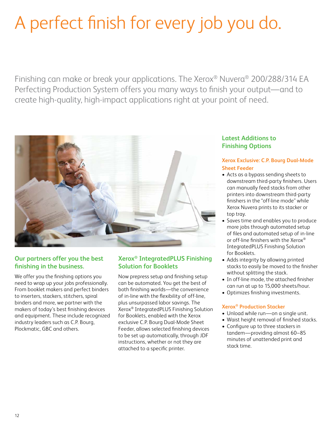# A perfect finish for every job you do.

Finishing can make or break your applications. The Xerox® Nuvera® 200/288/314 EA Perfecting Production System offers you many ways to finish your output—and to create high-quality, high-impact applications right at your point of need.



# **Our partners offer you the best finishing in the business.**

We offer you the finishing options you need to wrap up your jobs professionally. From booklet makers and perfect binders to inserters, stackers, stitchers, spiral binders and more, we partner with the makers of today's best finishing devices and equipment. These include recognized industry leaders such as C.P. Bourg, Plockmatic, GBC and others.

# **Xerox® IntegratedPLUS Finishing Solution for Booklets**

Now prepress setup and finishing setup can be automated. You get the best of both finishing worlds—the convenience of in-line with the flexibility of off-line, plus unsurpassed labor savings. The Xerox® IntegratedPLUS Finishing Solution for Booklets, enabled with the Xerox exclusive C.P. Bourg Dual-Mode Sheet Feeder, allows selected finishing devices to be set up automatically, through JDF instructions, whether or not they are attached to a specific printer.

### **Latest Additions to Finishing Options**

### **Xerox Exclusive: C.P. Bourg Dual-Mode Sheet Feeder**

- Acts as a bypass sending sheets to downstream third-party finishers. Users can manually feed stacks from other printers into downstream third-party finishers in the "off-line mode" while Xerox Nuvera prints to its stacker or top tray.
- Saves time and enables you to produce more jobs through automated setup of files and automated setup of in-line or off-line finishers with the Xerox® IntegratedPLUS Finishing Solution for Booklets.
- Adds integrity by allowing printed stacks to easily be moved to the finisher without splitting the stack.
- In off-line mode, the attached finisher can run at up to 15,000 sheets/hour.
- Optimizes finishing investments.

### **Xerox® Production Stacker**

- Unload while run—on a single unit.
- Waist height removal of finished stacks.
- Configure up to three stackers in tandem—providing almost 60–85 minutes of unattended print and stack time.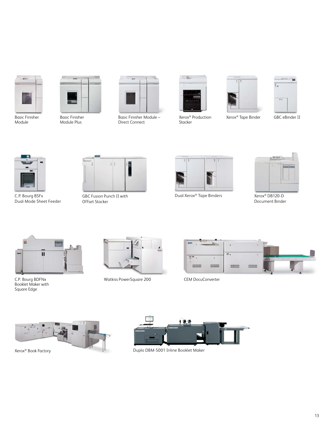

Basic Finisher Module



Basic Finisher Module Plus



Basic Finisher Module – Direct Connect



Stacker





 $\rightarrow$  70

Xerox<sup>®</sup> Production **Xerox<sup>®</sup> Tape Binder** 

GBC eBinder II



Dual-Mode Sheet Feeder



Offset Stacker



GBC Fusion Punch II with Dual Xerox® C.P. Bourg BSFx Tape Binders



Xerox® DB120-D Document Binder



C.P. Bourg BDFNx Booklet Maker with Square Edge



Watkiss PowerSquare 200 CEM DocuConverter







Duplo DBM-5001 Inline Booklet Maker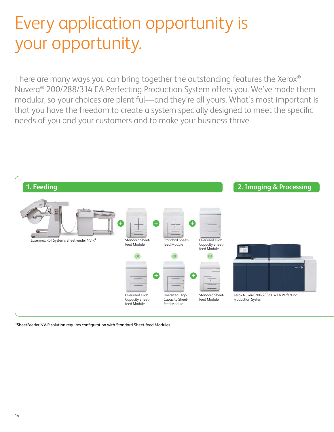# Every application opportunity is your opportunity.

There are many ways you can bring together the outstanding features the Xerox® Nuvera® 200/288/314 EA Perfecting Production System offers you. We've made them modular, so your choices are plentiful—and they're all yours. What's most important is that you have the freedom to create a system specially designed to meet the specific needs of you and your customers and to make your business thrive.



1 SheetFeeder NV-R solution requires configuration with Standard Sheet-feed Modules.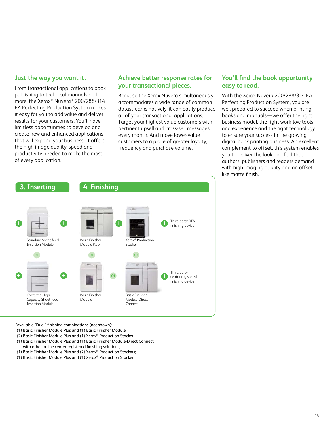### **Just the way you want it.**

From transactional applications to book publishing to technical manuals and more, the Xerox® Nuvera® 200/288/314 EA Perfecting Production System makes it easy for you to add value and deliver results for your customers. You'll have limitless opportunities to develop and create new and enhanced applications that will expand your business. It offers the high image quality, speed and productivity needed to make the most of every application.

### **Achieve better response rates for your transactional pieces.**

Because the Xerox Nuvera simultaneously accommodates a wide range of common datastreams natively, it can easily produce all of your transactional applications. Target your highest-value customers with pertinent upsell and cross-sell messages every month. And move lower-value customers to a place of greater loyalty, frequency and purchase volume.

# **You'll find the book opportunity easy to read.**

With the Xerox Nuvera 200/288/314 EA Perfecting Production System, you are well prepared to succeed when printing books and manuals—we offer the right business model, the right workflow tools and experience and the right technology to ensure your success in the growing digital book printing business. An excellent complement to offset, this system enables you to deliver the look and feel that authors, publishers and readers demand with high imaging quality and an offsetlike matte finish.



2 Available "Dual" finishing combinations (not shown):

- (1) Basic Finisher Module Plus and (1) Basic Finisher Module;
- (2) Basic Finisher Module Plus and (1) Xerox® Production Stacker;
- (1) Basic Finisher Module Plus and (1) Basic Finisher Module-Direct Connect with other in-line center-registered finishing solutions;
- (1) Basic Finisher Module Plus and (2) Xerox® Production Stackers;
- (1) Basic Finisher Module Plus and (1) Xerox® Production Stacker